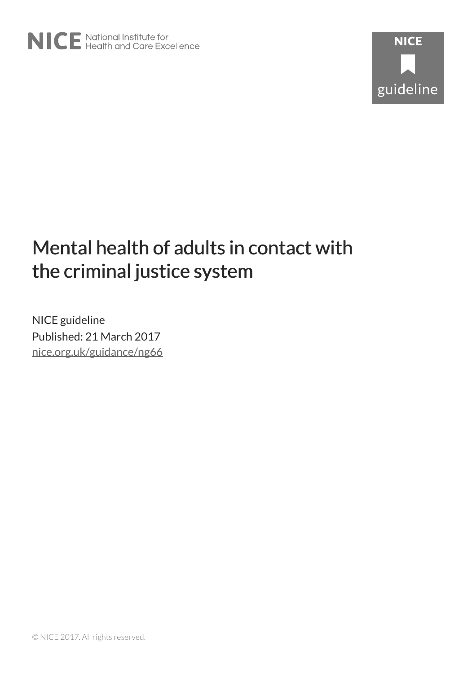# Mental health of adults in contact with the criminal justice system

NICE guideline Published: 21 March 2017 [nice.org.uk/guidance/ng66](http://nice.org.uk/guidance/ng66)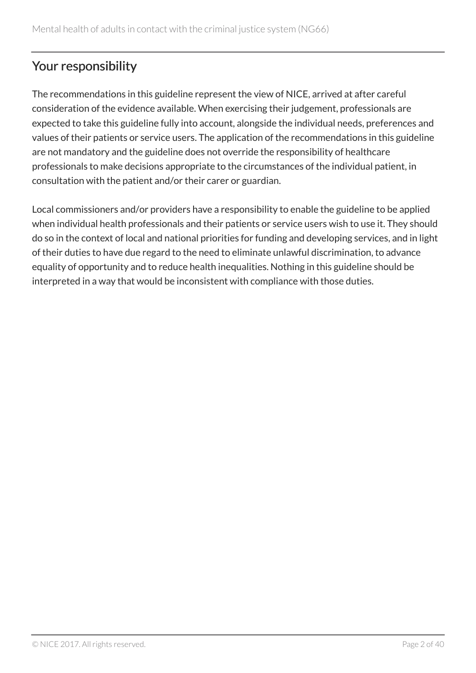# Your responsibility

The recommendations in this guideline represent the view of NICE, arrived at after careful consideration of the evidence available. When exercising their judgement, professionals are expected to take this guideline fully into account, alongside the individual needs, preferences and values of their patients or service users. The application of the recommendations in this guideline are not mandatory and the guideline does not override the responsibility of healthcare professionals to make decisions appropriate to the circumstances of the individual patient, in consultation with the patient and/or their carer or guardian.

Local commissioners and/or providers have a responsibility to enable the guideline to be applied when individual health professionals and their patients or service users wish to use it. They should do so in the context of local and national priorities for funding and developing services, and in light of their duties to have due regard to the need to eliminate unlawful discrimination, to advance equality of opportunity and to reduce health inequalities. Nothing in this guideline should be interpreted in a way that would be inconsistent with compliance with those duties.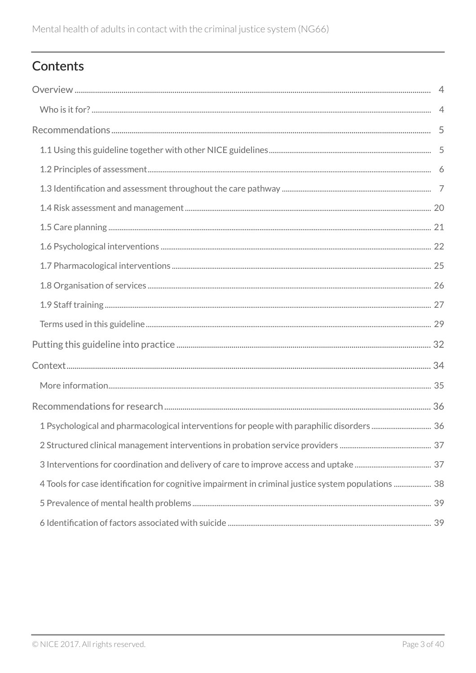# Contents

| 4 Tools for case identification for cognitive impairment in criminal justice system populations  38 |  |
|-----------------------------------------------------------------------------------------------------|--|
|                                                                                                     |  |
|                                                                                                     |  |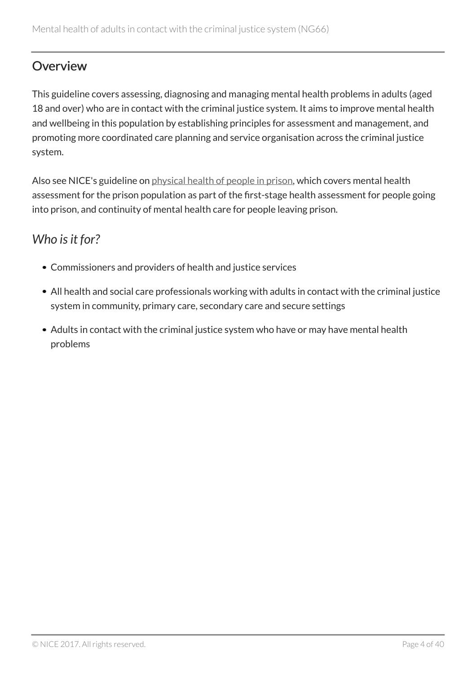# <span id="page-3-0"></span>**Overview**

This guideline covers assessing, diagnosing and managing mental health problems in adults (aged 18 and over) who are in contact with the criminal justice system. It aims to improve mental health and wellbeing in this population by establishing principles for assessment and management, and promoting more coordinated care planning and service organisation across the criminal justice system.

Also see NICE's guideline on [physical health of people in prison,](http://www.nice.org.uk/guidance/ng57) which covers mental health assessment for the prison population as part of the first-stage health assessment for people going into prison, and continuity of mental health care for people leaving prison.

# <span id="page-3-1"></span>*Who is it for?*

- Commissioners and providers of health and justice services
- All health and social care professionals working with adults in contact with the criminal justice system in community, primary care, secondary care and secure settings
- Adults in contact with the criminal justice system who have or may have mental health problems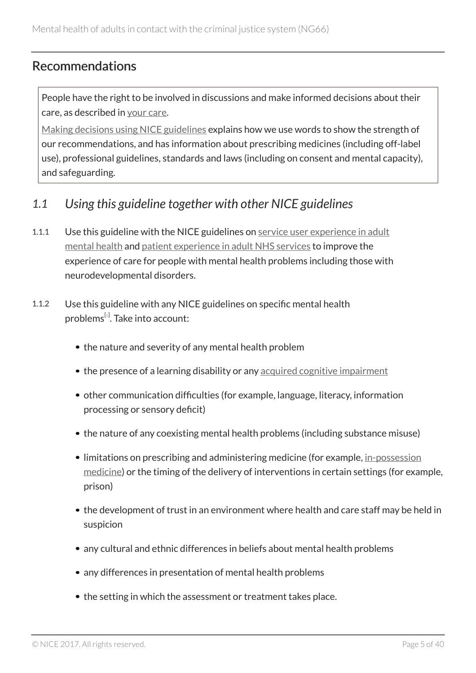### <span id="page-4-0"></span>Recommendations

People have the right to be involved in discussions and make informed decisions about their care, as described in [your care](http://www.nice.org.uk/about/nice-communities/public-involvement/your-care).

[Making decisions using NICE guidelines](http://www.nice.org.uk/about/what-we-do/our-programmes/nice-guidance/nice-guidelines/using-NICE-guidelines-to-make-decisions) explains how we use words to show the strength of our recommendations, and has information about prescribing medicines (including off-label use), professional guidelines, standards and laws (including on consent and mental capacity), and safeguarding.

### <span id="page-4-1"></span>*1.1 Using this guideline together with other NICE guidelines*

- 1.1.1 Use this guideline with the NICE guidelines on [service user experience in adult](http://www.nice.org.uk/guidance/cg136) [mental health](http://www.nice.org.uk/guidance/cg136) and [patient experience in adult NHS services](http://www.nice.org.uk/guidance/cg138) to improve the experience of care for people with mental health problems including those with neurodevelopmental disorders.
- <span id="page-4-2"></span>1.1.2 Use this guideline with any NICE guidelines on specific mental health problems<sup>[[1](#page-30-0)]</sup>. Take into account:
	- the nature and severity of any mental health problem
	- the presence of a learning disability or any [acquired cognitive impairment](#page-28-1)
	- other communication difficulties (for example, language, literacy, information processing or sensory deficit)
	- the nature of any coexisting mental health problems (including substance misuse)
	- limitations on prescribing and administering medicine (for example, [in-possession](#page-29-0) [medicine](#page-29-0)) or the timing of the delivery of interventions in certain settings (for example, prison)
	- the development of trust in an environment where health and care staff may be held in suspicion
	- any cultural and ethnic differences in beliefs about mental health problems
	- any differences in presentation of mental health problems
	- the setting in which the assessment or treatment takes place.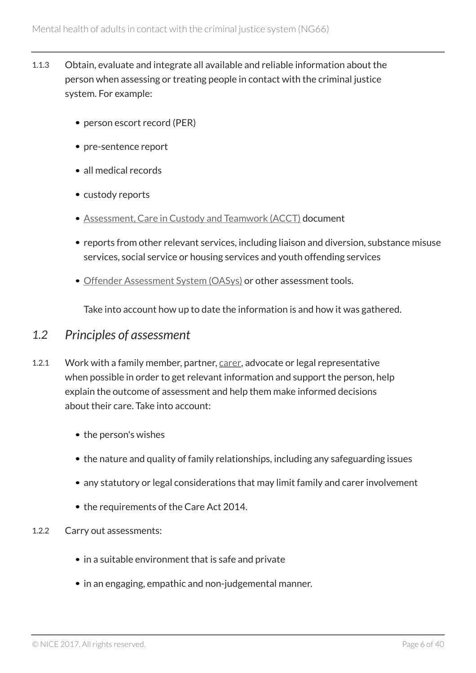- 1.1.3 Obtain, evaluate and integrate all available and reliable information about the person when assessing or treating people in contact with the criminal justice system. For example:
	- person escort record (PER)
	- pre-sentence report
	- all medical records
	- custody reports
	- [Assessment, Care in Custody and Teamwork \(ACCT\)](#page-28-2) document
	- reports from other relevant services, including liaison and diversion, substance misuse services, social service or housing services and youth offending services
	- [Offender Assessment System \(OASys\)](#page-30-1) or other assessment tools.

Take into account how up to date the information is and how it was gathered.

### <span id="page-5-0"></span>*1.2 Principles of assessment*

- 1.2.1 Work with a family member, partner, [carer,](#page-28-3) advocate or legal representative when possible in order to get relevant information and support the person, help explain the outcome of assessment and help them make informed decisions about their care. Take into account:
	- the person's wishes
	- the nature and quality of family relationships, including any safeguarding issues
	- any statutory or legal considerations that may limit family and carer involvement
	- the requirements of the Care Act 2014.
- 1.2.2 Carry out assessments:
	- in a suitable environment that is safe and private
	- in an engaging, empathic and non-judgemental manner.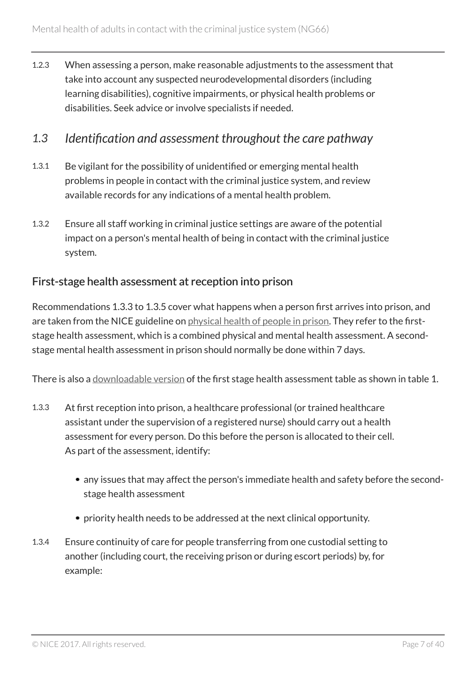1.2.3 When assessing a person, make reasonable adjustments to the assessment that take into account any suspected neurodevelopmental disorders (including learning disabilities), cognitive impairments, or physical health problems or disabilities. Seek advice or involve specialists if needed.

#### <span id="page-6-0"></span>*1.3 Identification and assessment throughout the care pathway*

- 1.3.1 Be vigilant for the possibility of unidentified or emerging mental health problems in people in contact with the criminal justice system, and review available records for any indications of a mental health problem.
- 1.3.2 Ensure all staff working in criminal justice settings are aware of the potential impact on a person's mental health of being in contact with the criminal justice system.

#### First-stage health assessment at reception into prison

Recommendations 1.3.3 to 1.3.5 cover what happens when a person first arrives into prison, and are taken from the NICE guideline on [physical health of people in prison](http://www.nice.org.uk/guidance/ng57). They refer to the firststage health assessment, which is a combined physical and mental health assessment. A secondstage mental health assessment in prison should normally be done within 7 days.

There is also a [downloadable version](http://www.nice.org.uk/guidance/ng66/resources) of the first stage health assessment table as shown in table 1.

- 1.3.3 At first reception into prison, a healthcare professional (or trained healthcare assistant under the supervision of a registered nurse) should carry out a health assessment for every person. Do this before the person is allocated to their cell. As part of the assessment, identify:
	- any issues that may affect the person's immediate health and safety before the secondstage health assessment
	- priority health needs to be addressed at the next clinical opportunity.
- 1.3.4 Ensure continuity of care for people transferring from one custodial setting to another (including court, the receiving prison or during escort periods) by, for example: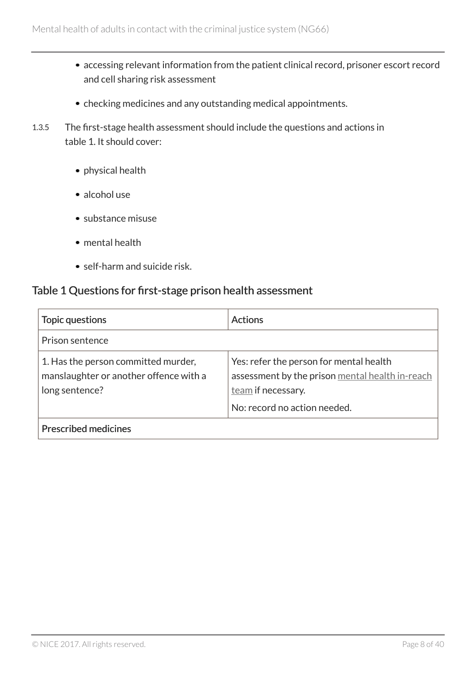- accessing relevant information from the patient clinical record, prisoner escort record and cell sharing risk assessment
- checking medicines and any outstanding medical appointments.
- 1.3.5 The first-stage health assessment should include the questions and actions in table 1. It should cover:
	- physical health
	- alcohol use
	- substance misuse
	- mental health
	- self-harm and suicide risk.

#### Table 1 Questions for first-stage prison health assessment

| Topic questions                                                                                 | <b>Actions</b>                                                                                                                                   |
|-------------------------------------------------------------------------------------------------|--------------------------------------------------------------------------------------------------------------------------------------------------|
| Prison sentence                                                                                 |                                                                                                                                                  |
| 1. Has the person committed murder,<br>manslaughter or another offence with a<br>long sentence? | Yes: refer the person for mental health<br>assessment by the prison mental health in-reach<br>team if necessary.<br>No: record no action needed. |
| <b>Prescribed medicines</b>                                                                     |                                                                                                                                                  |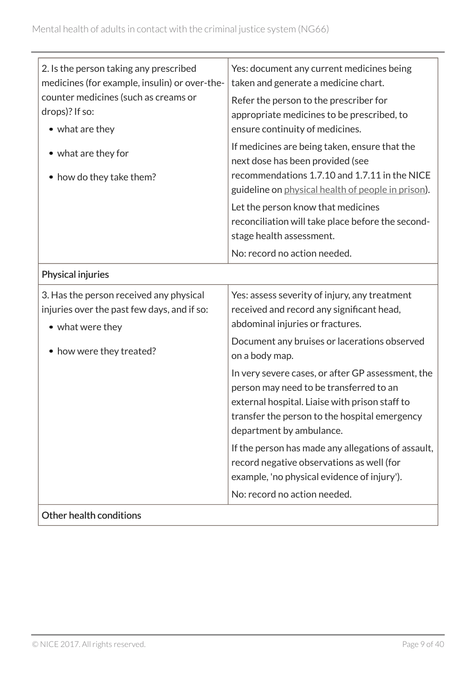| 2. Is the person taking any prescribed        | Yes: document any current medicines being          |
|-----------------------------------------------|----------------------------------------------------|
| medicines (for example, insulin) or over-the- | taken and generate a medicine chart.               |
| counter medicines (such as creams or          | Refer the person to the prescriber for             |
| drops)? If so:                                | appropriate medicines to be prescribed, to         |
| • what are they                               | ensure continuity of medicines.                    |
| • what are they for                           | If medicines are being taken, ensure that the      |
|                                               | next dose has been provided (see                   |
| • how do they take them?                      | recommendations 1.7.10 and 1.7.11 in the NICE      |
|                                               | guideline on physical health of people in prison). |
|                                               | Let the person know that medicines                 |
|                                               | reconciliation will take place before the second-  |
|                                               | stage health assessment.                           |
|                                               | No: record no action needed.                       |
| Physical injuries                             |                                                    |
| 3. Has the person received any physical       | Yes: assess severity of injury, any treatment      |
| injuries over the past few days, and if so:   | received and record any significant head,          |
| • what were they                              | abdominal injuries or fractures.                   |
|                                               | Document any bruises or lacerations observed       |
| • how were they treated?                      | on a body map.                                     |
|                                               | In very severe cases, or after GP assessment, the  |
|                                               | person may need to be transferred to an            |
|                                               | external hospital. Liaise with prison staff to     |
|                                               | transfer the person to the hospital emergency      |
|                                               | department by ambulance.                           |
|                                               | If the person has made any allegations of assault, |
|                                               | record negative observations as well (for          |
|                                               | example, 'no physical evidence of injury').        |
|                                               | No: record no action needed.                       |
| Other health conditions                       |                                                    |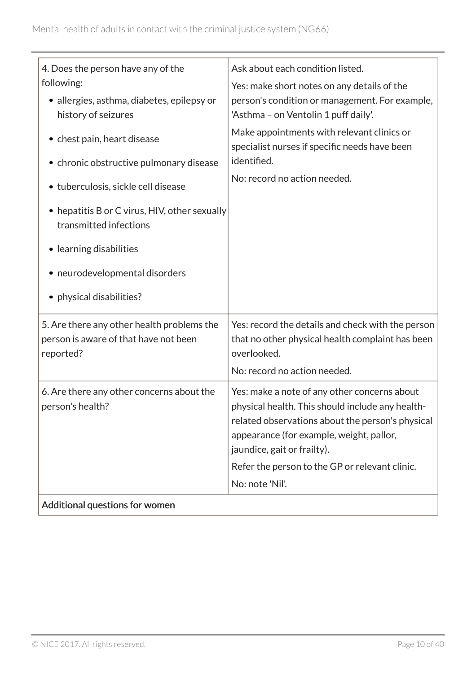| 4. Does the person have any of the                                                               | Ask about each condition listed.                                                                                                                                                                                                |
|--------------------------------------------------------------------------------------------------|---------------------------------------------------------------------------------------------------------------------------------------------------------------------------------------------------------------------------------|
| following:                                                                                       | Yes: make short notes on any details of the                                                                                                                                                                                     |
| • allergies, asthma, diabetes, epilepsy or                                                       | person's condition or management. For example,                                                                                                                                                                                  |
| history of seizures                                                                              | 'Asthma - on Ventolin 1 puff daily'.                                                                                                                                                                                            |
| • chest pain, heart disease                                                                      | Make appointments with relevant clinics or<br>specialist nurses if specific needs have been<br>identified.                                                                                                                      |
| • chronic obstructive pulmonary disease                                                          |                                                                                                                                                                                                                                 |
| • tuberculosis, sickle cell disease                                                              | No: record no action needed.                                                                                                                                                                                                    |
| • hepatitis B or C virus, HIV, other sexually<br>transmitted infections                          |                                                                                                                                                                                                                                 |
| • learning disabilities                                                                          |                                                                                                                                                                                                                                 |
| • neurodevelopmental disorders                                                                   |                                                                                                                                                                                                                                 |
| • physical disabilities?                                                                         |                                                                                                                                                                                                                                 |
| 5. Are there any other health problems the<br>person is aware of that have not been<br>reported? | Yes: record the details and check with the person<br>that no other physical health complaint has been<br>overlooked.<br>No: record no action needed.                                                                            |
| 6. Are there any other concerns about the<br>person's health?                                    | Yes: make a note of any other concerns about<br>physical health. This should include any health-<br>related observations about the person's physical<br>appearance (for example, weight, pallor,<br>jaundice, gait or frailty). |
|                                                                                                  | Refer the person to the GP or relevant clinic.<br>No: note 'Nil'.                                                                                                                                                               |
| Additional questions for women                                                                   |                                                                                                                                                                                                                                 |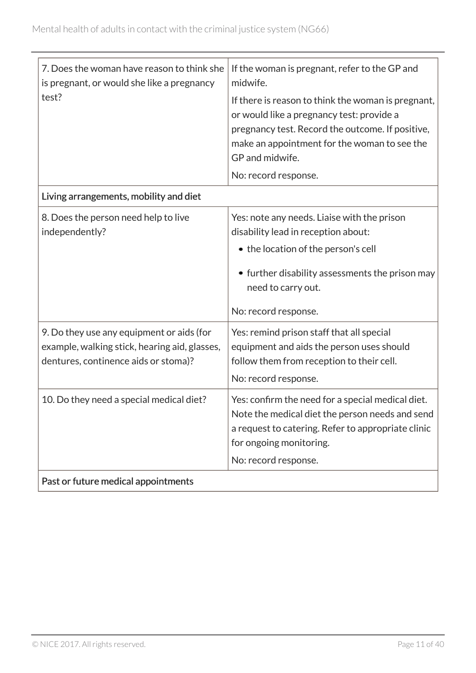| 7. Does the woman have reason to think she<br>is pregnant, or would she like a pregnancy<br>test? | If the woman is pregnant, refer to the GP and<br>midwife.<br>If there is reason to think the woman is pregnant,<br>or would like a pregnancy test: provide a                          |
|---------------------------------------------------------------------------------------------------|---------------------------------------------------------------------------------------------------------------------------------------------------------------------------------------|
|                                                                                                   | pregnancy test. Record the outcome. If positive,<br>make an appointment for the woman to see the<br>GP and midwife.                                                                   |
|                                                                                                   | No: record response.                                                                                                                                                                  |
| Living arrangements, mobility and diet                                                            |                                                                                                                                                                                       |
| 8. Does the person need help to live<br>independently?                                            | Yes: note any needs. Liaise with the prison<br>disability lead in reception about:<br>• the location of the person's cell                                                             |
|                                                                                                   | • further disability assessments the prison may<br>need to carry out.<br>No: record response.                                                                                         |
| 9. Do they use any equipment or aids (for                                                         | Yes: remind prison staff that all special                                                                                                                                             |
| example, walking stick, hearing aid, glasses,<br>dentures, continence aids or stoma)?             | equipment and aids the person uses should<br>follow them from reception to their cell.                                                                                                |
|                                                                                                   | No: record response.                                                                                                                                                                  |
| 10. Do they need a special medical diet?                                                          | Yes: confirm the need for a special medical diet.<br>Note the medical diet the person needs and send<br>a request to catering. Refer to appropriate clinic<br>for ongoing monitoring. |
|                                                                                                   | No: record response.                                                                                                                                                                  |
| Past or future medical appointments                                                               |                                                                                                                                                                                       |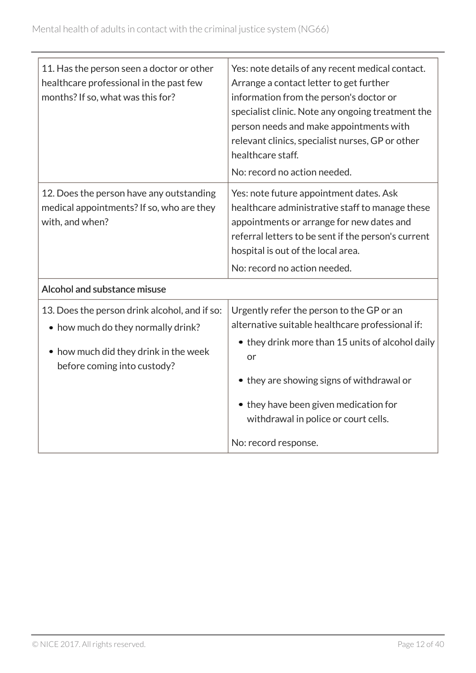| 11. Has the person seen a doctor or other<br>healthcare professional in the past few<br>months? If so, what was this for?                                   | Yes: note details of any recent medical contact.<br>Arrange a contact letter to get further<br>information from the person's doctor or<br>specialist clinic. Note any ongoing treatment the<br>person needs and make appointments with<br>relevant clinics, specialist nurses, GP or other<br>healthcare staff. |
|-------------------------------------------------------------------------------------------------------------------------------------------------------------|-----------------------------------------------------------------------------------------------------------------------------------------------------------------------------------------------------------------------------------------------------------------------------------------------------------------|
|                                                                                                                                                             | No: record no action needed.                                                                                                                                                                                                                                                                                    |
| 12. Does the person have any outstanding<br>medical appointments? If so, who are they<br>with, and when?                                                    | Yes: note future appointment dates. Ask<br>healthcare administrative staff to manage these<br>appointments or arrange for new dates and<br>referral letters to be sent if the person's current<br>hospital is out of the local area.                                                                            |
|                                                                                                                                                             | No: record no action needed.                                                                                                                                                                                                                                                                                    |
| Alcohol and substance misuse                                                                                                                                |                                                                                                                                                                                                                                                                                                                 |
| 13. Does the person drink alcohol, and if so:<br>• how much do they normally drink?<br>• how much did they drink in the week<br>before coming into custody? | Urgently refer the person to the GP or an<br>alternative suitable healthcare professional if:<br>• they drink more than 15 units of alcohol daily<br>or<br>• they are showing signs of withdrawal or<br>• they have been given medication for<br>withdrawal in police or court cells.<br>No: record response.   |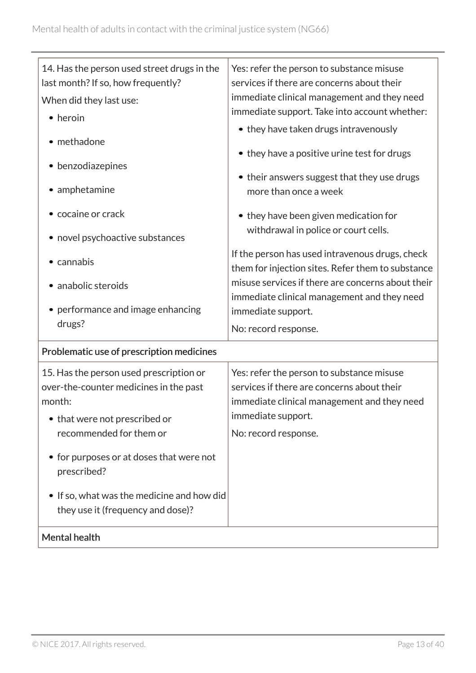| 14. Has the person used street drugs in the | Yes: refer the person to substance misuse                                     |
|---------------------------------------------|-------------------------------------------------------------------------------|
| last month? If so, how frequently?          | services if there are concerns about their                                    |
| When did they last use:                     | immediate clinical management and they need                                   |
| • heroin                                    | immediate support. Take into account whether:                                 |
|                                             | • they have taken drugs intravenously                                         |
| • methadone                                 |                                                                               |
| • benzodiazepines                           | • they have a positive urine test for drugs                                   |
|                                             | • their answers suggest that they use drugs                                   |
| • amphetamine                               | more than once a week                                                         |
| • cocaine or crack                          |                                                                               |
|                                             | • they have been given medication for<br>withdrawal in police or court cells. |
| • novel psychoactive substances             |                                                                               |
|                                             | If the person has used intravenous drugs, check                               |
| • cannabis                                  | them for injection sites. Refer them to substance                             |
| • anabolic steroids                         | misuse services if there are concerns about their                             |
|                                             | immediate clinical management and they need                                   |
| • performance and image enhancing           | immediate support.                                                            |
| drugs?                                      | No: record response.                                                          |
| Problematic use of prescription medicines   |                                                                               |
| 15. Has the person used prescription or     | Yes: refer the person to substance misuse                                     |
| over-the-counter medicines in the past      | services if there are concerns about their                                    |
| month:                                      | immediate clinical management and they need                                   |
| • that were not prescribed or               | immediate support.                                                            |
| recommended for them or                     | No: record response.                                                          |
|                                             |                                                                               |
| • for purposes or at doses that were not    |                                                                               |
| prescribed?                                 |                                                                               |
| • If so, what was the medicine and how did  |                                                                               |
| they use it (frequency and dose)?           |                                                                               |
|                                             |                                                                               |
| Mental health                               |                                                                               |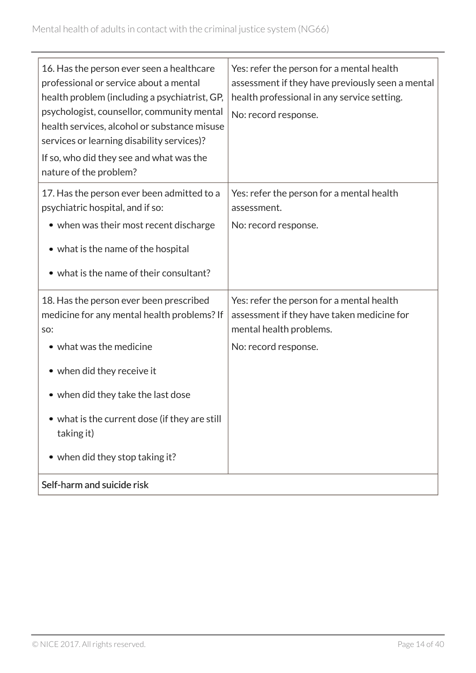| 16. Has the person ever seen a healthcare<br>professional or service about a mental<br>health problem (including a psychiatrist, GP,<br>psychologist, counsellor, community mental<br>health services, alcohol or substance misuse<br>services or learning disability services)?<br>If so, who did they see and what was the<br>nature of the problem? | Yes: refer the person for a mental health<br>assessment if they have previously seen a mental<br>health professional in any service setting.<br>No: record response. |
|--------------------------------------------------------------------------------------------------------------------------------------------------------------------------------------------------------------------------------------------------------------------------------------------------------------------------------------------------------|----------------------------------------------------------------------------------------------------------------------------------------------------------------------|
| 17. Has the person ever been admitted to a<br>psychiatric hospital, and if so:                                                                                                                                                                                                                                                                         | Yes: refer the person for a mental health<br>assessment.                                                                                                             |
| • when was their most recent discharge                                                                                                                                                                                                                                                                                                                 | No: record response.                                                                                                                                                 |
| • what is the name of the hospital                                                                                                                                                                                                                                                                                                                     |                                                                                                                                                                      |
| • what is the name of their consultant?                                                                                                                                                                                                                                                                                                                |                                                                                                                                                                      |
| 18. Has the person ever been prescribed<br>medicine for any mental health problems? If<br>SO:                                                                                                                                                                                                                                                          | Yes: refer the person for a mental health<br>assessment if they have taken medicine for<br>mental health problems.                                                   |
| • what was the medicine                                                                                                                                                                                                                                                                                                                                | No: record response.                                                                                                                                                 |
| • when did they receive it                                                                                                                                                                                                                                                                                                                             |                                                                                                                                                                      |
| • when did they take the last dose                                                                                                                                                                                                                                                                                                                     |                                                                                                                                                                      |
| • what is the current dose (if they are still<br>taking it)                                                                                                                                                                                                                                                                                            |                                                                                                                                                                      |
| • when did they stop taking it?                                                                                                                                                                                                                                                                                                                        |                                                                                                                                                                      |
| Self-harm and suicide risk                                                                                                                                                                                                                                                                                                                             |                                                                                                                                                                      |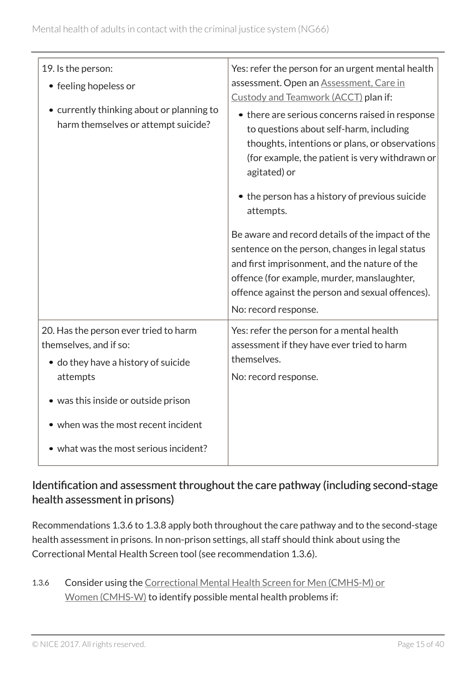| 19. Is the person:<br>• feeling hopeless or<br>• currently thinking about or planning to<br>harm themselves or attempt suicide? | Yes: refer the person for an urgent mental health<br>assessment. Open an Assessment, Care in<br>Custody and Teamwork (ACCT) plan if:<br>• there are serious concerns raised in response<br>to questions about self-harm, including<br>thoughts, intentions or plans, or observations<br>(for example, the patient is very withdrawn or<br>agitated) or<br>• the person has a history of previous suicide<br>attempts.<br>Be aware and record details of the impact of the<br>sentence on the person, changes in legal status<br>and first imprisonment, and the nature of the<br>offence (for example, murder, manslaughter,<br>offence against the person and sexual offences).<br>No: record response. |
|---------------------------------------------------------------------------------------------------------------------------------|----------------------------------------------------------------------------------------------------------------------------------------------------------------------------------------------------------------------------------------------------------------------------------------------------------------------------------------------------------------------------------------------------------------------------------------------------------------------------------------------------------------------------------------------------------------------------------------------------------------------------------------------------------------------------------------------------------|
| 20. Has the person ever tried to harm<br>themselves, and if so:<br>• do they have a history of suicide<br>attempts              | Yes: refer the person for a mental health<br>assessment if they have ever tried to harm<br>themselves.<br>No: record response.                                                                                                                                                                                                                                                                                                                                                                                                                                                                                                                                                                           |
| • was this inside or outside prison                                                                                             |                                                                                                                                                                                                                                                                                                                                                                                                                                                                                                                                                                                                                                                                                                          |
| • when was the most recent incident                                                                                             |                                                                                                                                                                                                                                                                                                                                                                                                                                                                                                                                                                                                                                                                                                          |
| • what was the most serious incident?                                                                                           |                                                                                                                                                                                                                                                                                                                                                                                                                                                                                                                                                                                                                                                                                                          |

### Identification and assessment throughout the care pathway (including second-stage health assessment in prisons)

Recommendations 1.3.6 to 1.3.8 apply both throughout the care pathway and to the second-stage health assessment in prisons. In non-prison settings, all staff should think about using the Correctional Mental Health Screen tool (see recommendation 1.3.6).

1.3.6 Consider using the [Correctional Mental Health Screen for Men \(CMHS-M\) or](#page-28-4) [Women \(CMHS-W\)](#page-28-4) to identify possible mental health problems if: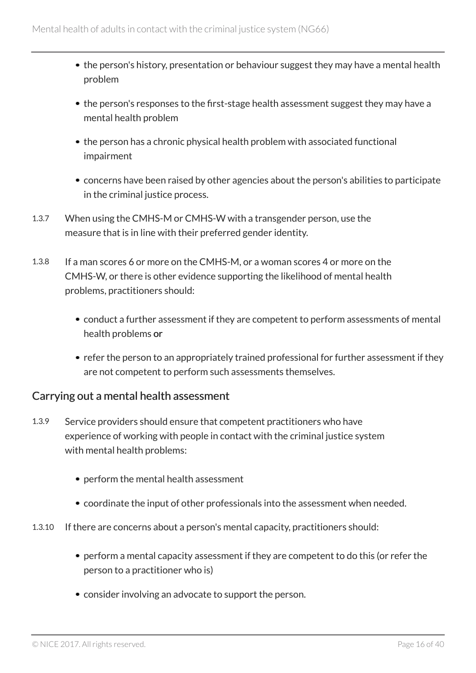- the person's history, presentation or behaviour suggest they may have a mental health problem
- the person's responses to the first-stage health assessment suggest they may have a mental health problem
- the person has a chronic physical health problem with associated functional impairment
- concerns have been raised by other agencies about the person's abilities to participate in the criminal justice process.
- 1.3.7 When using the CMHS-M or CMHS-W with a transgender person, use the measure that is in line with their preferred gender identity.
- 1.3.8 If a man scores 6 or more on the CMHS-M, or a woman scores 4 or more on the CMHS-W, or there is other evidence supporting the likelihood of mental health problems, practitioners should:
	- conduct a further assessment if they are competent to perform assessments of mental health problems or
	- refer the person to an appropriately trained professional for further assessment if they are not competent to perform such assessments themselves.

#### Carrying out a mental health assessment

- 1.3.9 Service providers should ensure that competent practitioners who have experience of working with people in contact with the criminal justice system with mental health problems:
	- perform the mental health assessment
	- coordinate the input of other professionals into the assessment when needed.
- 1.3.10 If there are concerns about a person's mental capacity, practitioners should:
	- perform a mental capacity assessment if they are competent to do this (or refer the person to a practitioner who is)
	- consider involving an advocate to support the person.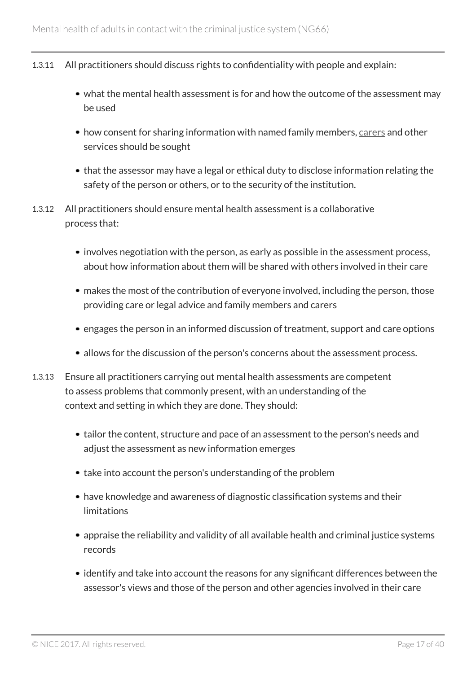- 1.3.11 All practitioners should discuss rights to confidentiality with people and explain:
	- what the mental health assessment is for and how the outcome of the assessment may be used
	- how consent for sharing information with named family members, [carers](#page-28-3) and other services should be sought
	- that the assessor may have a legal or ethical duty to disclose information relating the safety of the person or others, or to the security of the institution.
- 1.3.12 All practitioners should ensure mental health assessment is a collaborative process that:
	- involves negotiation with the person, as early as possible in the assessment process, about how information about them will be shared with others involved in their care
	- makes the most of the contribution of everyone involved, including the person, those providing care or legal advice and family members and carers
	- engages the person in an informed discussion of treatment, support and care options
	- allows for the discussion of the person's concerns about the assessment process.
- 1.3.13 Ensure all practitioners carrying out mental health assessments are competent to assess problems that commonly present, with an understanding of the context and setting in which they are done. They should:
	- tailor the content, structure and pace of an assessment to the person's needs and adjust the assessment as new information emerges
	- take into account the person's understanding of the problem
	- have knowledge and awareness of diagnostic classification systems and their limitations
	- appraise the reliability and validity of all available health and criminal justice systems records
	- identify and take into account the reasons for any significant differences between the assessor's views and those of the person and other agencies involved in their care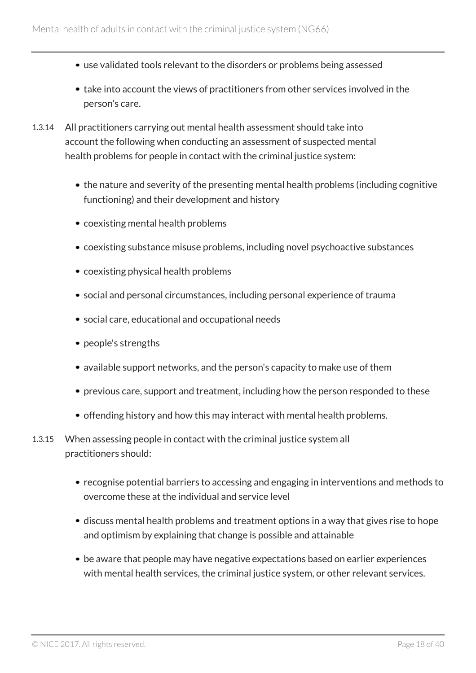- use validated tools relevant to the disorders or problems being assessed
- take into account the views of practitioners from other services involved in the person's care.
- 1.3.14 All practitioners carrying out mental health assessment should take into account the following when conducting an assessment of suspected mental health problems for people in contact with the criminal justice system:
	- the nature and severity of the presenting mental health problems (including cognitive functioning) and their development and history
	- coexisting mental health problems
	- coexisting substance misuse problems, including novel psychoactive substances
	- coexisting physical health problems
	- social and personal circumstances, including personal experience of trauma
	- social care, educational and occupational needs
	- people's strengths
	- available support networks, and the person's capacity to make use of them
	- previous care, support and treatment, including how the person responded to these
	- offending history and how this may interact with mental health problems.
- 1.3.15 When assessing people in contact with the criminal justice system all practitioners should:
	- recognise potential barriers to accessing and engaging in interventions and methods to overcome these at the individual and service level
	- discuss mental health problems and treatment options in a way that gives rise to hope and optimism by explaining that change is possible and attainable
	- be aware that people may have negative expectations based on earlier experiences with mental health services, the criminal justice system, or other relevant services.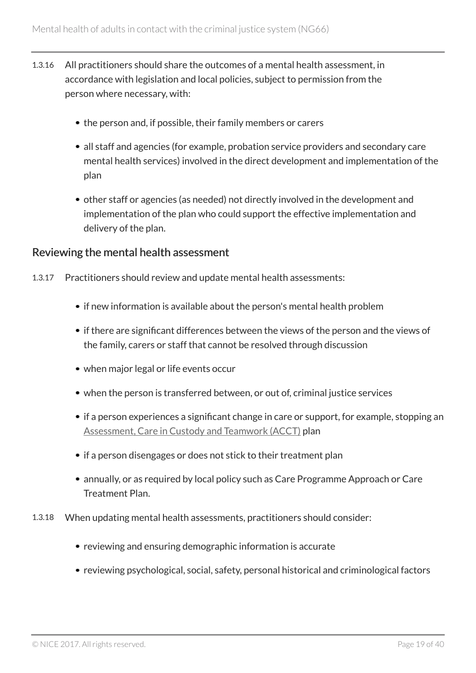- 1.3.16 All practitioners should share the outcomes of a mental health assessment, in accordance with legislation and local policies, subject to permission from the person where necessary, with:
	- the person and, if possible, their family members or carers
	- all staff and agencies (for example, probation service providers and secondary care mental health services) involved in the direct development and implementation of the plan
	- other staff or agencies (as needed) not directly involved in the development and implementation of the plan who could support the effective implementation and delivery of the plan.

#### Reviewing the mental health assessment

- 1.3.17 Practitioners should review and update mental health assessments:
	- if new information is available about the person's mental health problem
	- if there are significant differences between the views of the person and the views of the family, carers or staff that cannot be resolved through discussion
	- when major legal or life events occur
	- when the person is transferred between, or out of, criminal justice services
	- if a person experiences a significant change in care or support, for example, stopping an [Assessment, Care in Custody and Teamwork \(ACCT\)](#page-28-2) plan
	- if a person disengages or does not stick to their treatment plan
	- annually, or as required by local policy such as Care Programme Approach or Care Treatment Plan.
- 1.3.18 When updating mental health assessments, practitioners should consider:
	- reviewing and ensuring demographic information is accurate
	- reviewing psychological, social, safety, personal historical and criminological factors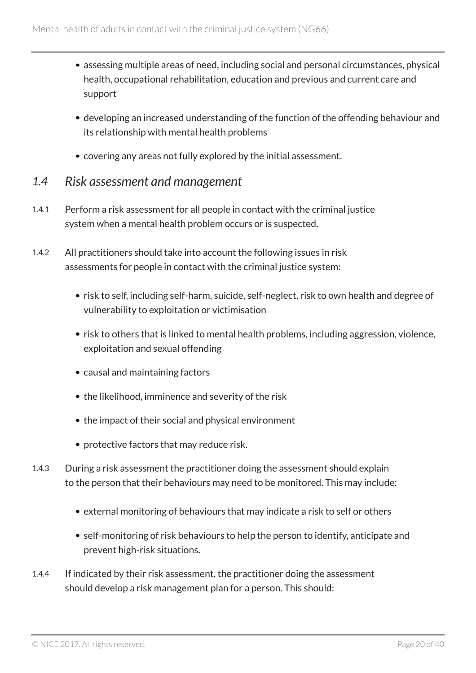- assessing multiple areas of need, including social and personal circumstances, physical health, occupational rehabilitation, education and previous and current care and support
- developing an increased understanding of the function of the offending behaviour and its relationship with mental health problems
- covering any areas not fully explored by the initial assessment.

#### <span id="page-19-0"></span>*1.4 Risk assessment and management*

- 1.4.1 Perform a risk assessment for all people in contact with the criminal justice system when a mental health problem occurs or is suspected.
- 1.4.2 All practitioners should take into account the following issues in risk assessments for people in contact with the criminal justice system:
	- risk to self, including self-harm, suicide, self-neglect, risk to own health and degree of vulnerability to exploitation or victimisation
	- risk to others that is linked to mental health problems, including aggression, violence, exploitation and sexual offending
	- causal and maintaining factors
	- the likelihood, imminence and severity of the risk
	- the impact of their social and physical environment
	- protective factors that may reduce risk.
- 1.4.3 During a risk assessment the practitioner doing the assessment should explain to the person that their behaviours may need to be monitored. This may include:
	- external monitoring of behaviours that may indicate a risk to self or others
	- self-monitoring of risk behaviours to help the person to identify, anticipate and prevent high-risk situations.
- 1.4.4 If indicated by their risk assessment, the practitioner doing the assessment should develop a risk management plan for a person. This should: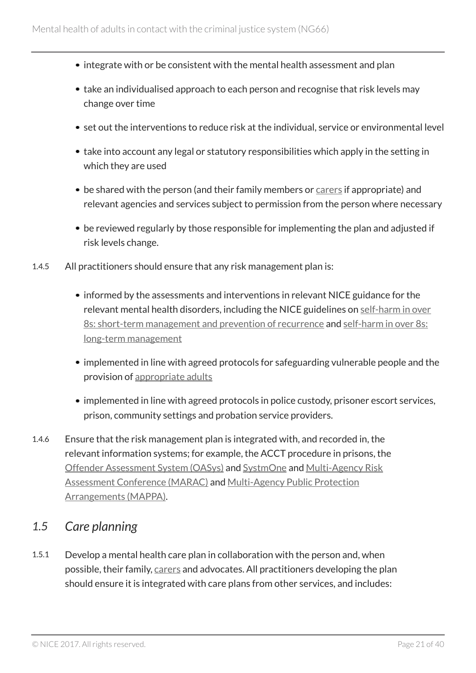- integrate with or be consistent with the mental health assessment and plan
- take an individualised approach to each person and recognise that risk levels may change over time
- set out the interventions to reduce risk at the individual, service or environmental level
- take into account any legal or statutory responsibilities which apply in the setting in which they are used
- be shared with the person (and their family members or [carers](#page-28-3) if appropriate) and relevant agencies and services subject to permission from the person where necessary
- be reviewed regularly by those responsible for implementing the plan and adjusted if risk levels change.
- 1.4.5 All practitioners should ensure that any risk management plan is:
	- informed by the assessments and interventions in relevant NICE guidance for the relevant mental health disorders, including the NICE guidelines on [self-harm in over](http://www.nice.org.uk/guidance/cg16) [8s: short-term management and prevention of recurrence](http://www.nice.org.uk/guidance/cg16) and [self-harm in over 8s:](http://www.nice.org.uk/guidance/cg133) [long-term management](http://www.nice.org.uk/guidance/cg133)
	- implemented in line with agreed protocols for safeguarding vulnerable people and the provision of [appropriate adults](#page-28-5)
	- implemented in line with agreed protocols in police custody, prisoner escort services, prison, community settings and probation service providers.
- 1.4.6 Ensure that the risk management plan is integrated with, and recorded in, the relevant information systems; for example, the ACCT procedure in prisons, the [Offender Assessment System \(OASys\)](#page-30-1) and [SystmOne](#page-30-2) and [Multi-Agency Risk](#page-29-2) [Assessment Conference \(MARAC\)](#page-29-2) and [Multi-Agency Public Protection](#page-29-3) [Arrangements \(MAPPA\)](#page-29-3).

### <span id="page-20-0"></span>*1.5 Care planning*

1.5.1 Develop a mental health care plan in collaboration with the person and, when possible, their family, [carers](#page-28-3) and advocates. All practitioners developing the plan should ensure it is integrated with care plans from other services, and includes: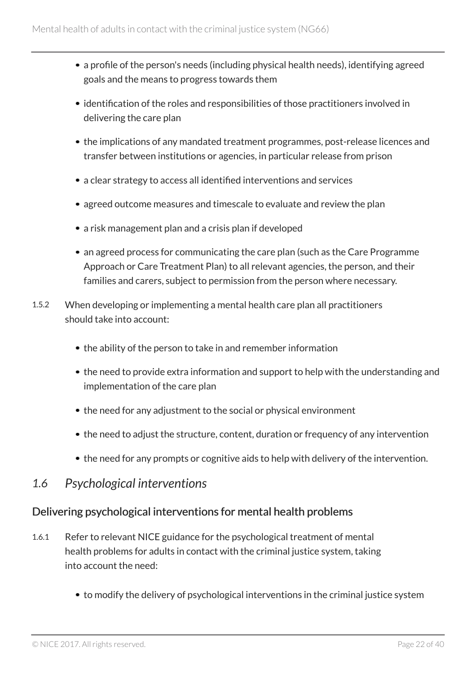- a profile of the person's needs (including physical health needs), identifying agreed goals and the means to progress towards them
- identification of the roles and responsibilities of those practitioners involved in delivering the care plan
- the implications of any mandated treatment programmes, post-release licences and transfer between institutions or agencies, in particular release from prison
- a clear strategy to access all identified interventions and services
- agreed outcome measures and timescale to evaluate and review the plan
- a risk management plan and a crisis plan if developed
- an agreed process for communicating the care plan (such as the Care Programme Approach or Care Treatment Plan) to all relevant agencies, the person, and their families and carers, subject to permission from the person where necessary.
- 1.5.2 When developing or implementing a mental health care plan all practitioners should take into account:
	- the ability of the person to take in and remember information
	- the need to provide extra information and support to help with the understanding and implementation of the care plan
	- the need for any adjustment to the social or physical environment
	- the need to adjust the structure, content, duration or frequency of any intervention
	- the need for any prompts or cognitive aids to help with delivery of the intervention.

#### <span id="page-21-0"></span>*1.6 Psychological interventions*

#### Delivering psychological interventions for mental health problems

- 1.6.1 Refer to relevant NICE guidance for the psychological treatment of mental health problems for adults in contact with the criminal justice system, taking into account the need:
	- to modify the delivery of psychological interventions in the criminal justice system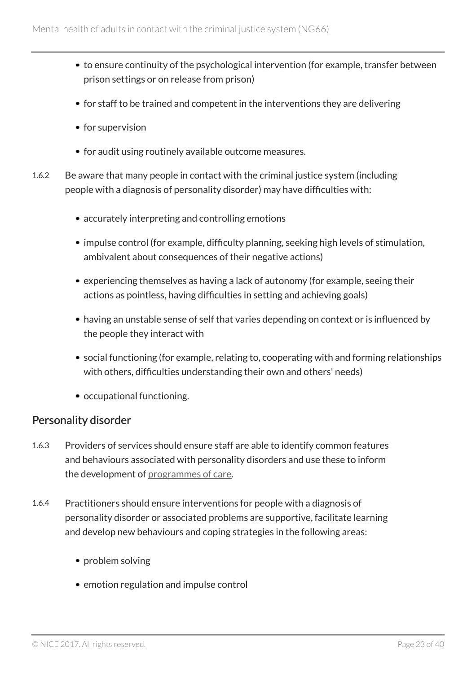- to ensure continuity of the psychological intervention (for example, transfer between prison settings or on release from prison)
- for staff to be trained and competent in the interventions they are delivering
- for supervision
- for audit using routinely available outcome measures.
- 1.6.2 Be aware that many people in contact with the criminal justice system (including people with a diagnosis of personality disorder) may have difficulties with:
	- accurately interpreting and controlling emotions
	- impulse control (for example, difficulty planning, seeking high levels of stimulation, ambivalent about consequences of their negative actions)
	- experiencing themselves as having a lack of autonomy (for example, seeing their actions as pointless, having difficulties in setting and achieving goals)
	- having an unstable sense of self that varies depending on context or is influenced by the people they interact with
	- social functioning (for example, relating to, cooperating with and forming relationships with others, difficulties understanding their own and others' needs)
	- occupational functioning.

#### Personality disorder

- 1.6.3 Providers of services should ensure staff are able to identify common features and behaviours associated with personality disorders and use these to inform the development of [programmes of care](#page-30-3).
- 1.6.4 Practitioners should ensure interventions for people with a diagnosis of personality disorder or associated problems are supportive, facilitate learning and develop new behaviours and coping strategies in the following areas:
	- problem solving
	- emotion regulation and impulse control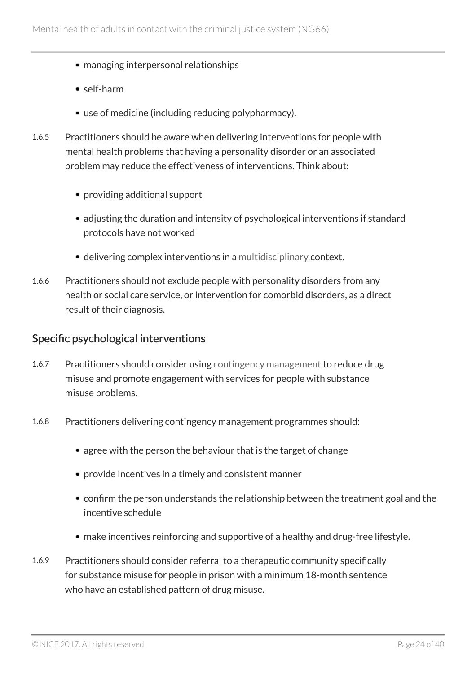- managing interpersonal relationships
- self-harm
- use of medicine (including reducing polypharmacy).
- 1.6.5 Practitioners should be aware when delivering interventions for people with mental health problems that having a personality disorder or an associated problem may reduce the effectiveness of interventions. Think about:
	- providing additional support
	- adjusting the duration and intensity of psychological interventions if standard protocols have not worked
	- delivering complex interventions in a [multidisciplinary](#page-30-4) context.
- 1.6.6 Practitioners should not exclude people with personality disorders from any health or social care service, or intervention for comorbid disorders, as a direct result of their diagnosis.

#### Specific psychological interventions

- 1.6.7 Practitioners should consider using [contingency management](#page-28-6) to reduce drug misuse and promote engagement with services for people with substance misuse problems.
- 1.6.8 Practitioners delivering contingency management programmes should:
	- agree with the person the behaviour that is the target of change
	- provide incentives in a timely and consistent manner
	- confirm the person understands the relationship between the treatment goal and the incentive schedule
	- make incentives reinforcing and supportive of a healthy and drug-free lifestyle.
- 1.6.9 Practitioners should consider referral to a therapeutic community specifically for substance misuse for people in prison with a minimum 18-month sentence who have an established pattern of drug misuse.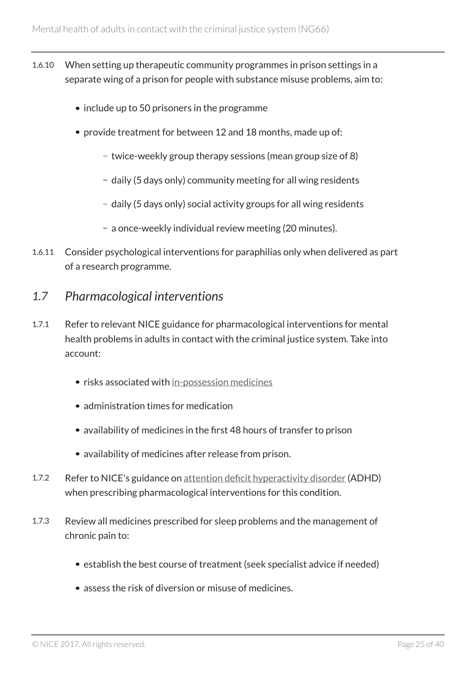- 1.6.10 When setting up therapeutic community programmes in prison settings in a separate wing of a prison for people with substance misuse problems, aim to:
	- include up to 50 prisoners in the programme
	- provide treatment for between 12 and 18 months, made up of:
		- twice-weekly group therapy sessions (mean group size of 8)
		- daily (5 days only) community meeting for all wing residents
		- daily (5 days only) social activity groups for all wing residents
		- a once-weekly individual review meeting (20 minutes).
- 1.6.11 Consider psychological interventions for paraphilias only when delivered as part of a research programme.

#### <span id="page-24-0"></span>*1.7 Pharmacological interventions*

- 1.7.1 Refer to relevant NICE guidance for pharmacological interventions for mental health problems in adults in contact with the criminal justice system. Take into account:
	- risks associated with [in-possession medicines](#page-29-0)
	- administration times for medication
	- availability of medicines in the first 48 hours of transfer to prison
	- availability of medicines after release from prison.
- 1.7.2 Refer to NICE's guidance on [attention deficit hyperactivity disorder](http://www.nice.org.uk/guidance/cg72) (ADHD) when prescribing pharmacological interventions for this condition.
- 1.7.3 Review all medicines prescribed for sleep problems and the management of chronic pain to:
	- establish the best course of treatment (seek specialist advice if needed)
	- assess the risk of diversion or misuse of medicines.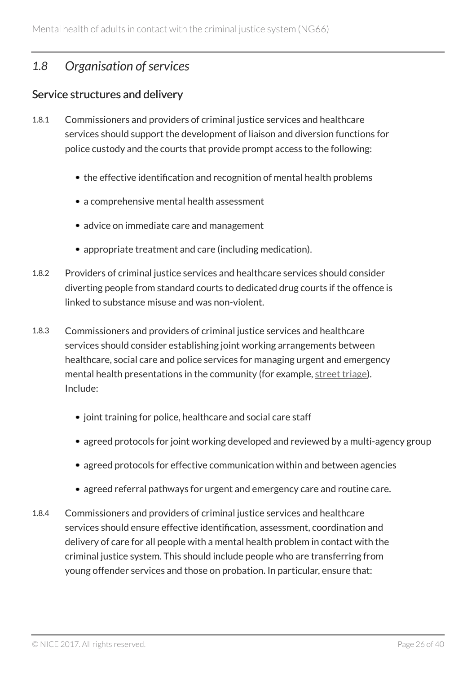### <span id="page-25-0"></span>*1.8 Organisation of services*

#### Service structures and delivery

- 1.8.1 Commissioners and providers of criminal justice services and healthcare services should support the development of liaison and diversion functions for police custody and the courts that provide prompt access to the following:
	- the effective identification and recognition of mental health problems
	- a comprehensive mental health assessment
	- advice on immediate care and management
	- appropriate treatment and care (including medication).
- 1.8.2 Providers of criminal justice services and healthcare services should consider diverting people from standard courts to dedicated drug courts if the offence is linked to substance misuse and was non-violent.
- 1.8.3 Commissioners and providers of criminal justice services and healthcare services should consider establishing joint working arrangements between healthcare, social care and police services for managing urgent and emergency mental health presentations in the community (for example, [street triage\)](#page-30-5). Include:
	- joint training for police, healthcare and social care staff
	- agreed protocols for joint working developed and reviewed by a multi-agency group
	- agreed protocols for effective communication within and between agencies
	- agreed referral pathways for urgent and emergency care and routine care.
- 1.8.4 Commissioners and providers of criminal justice services and healthcare services should ensure effective identification, assessment, coordination and delivery of care for all people with a mental health problem in contact with the criminal justice system. This should include people who are transferring from young offender services and those on probation. In particular, ensure that: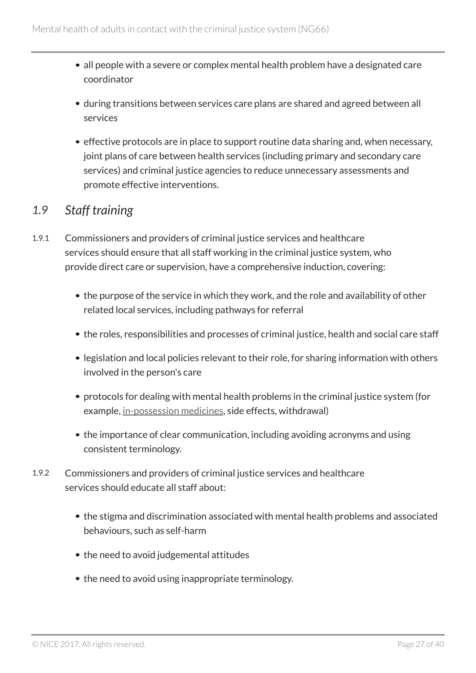- all people with a severe or complex mental health problem have a designated care coordinator
- during transitions between services care plans are shared and agreed between all services
- effective protocols are in place to support routine data sharing and, when necessary, joint plans of care between health services (including primary and secondary care services) and criminal justice agencies to reduce unnecessary assessments and promote effective interventions.

### <span id="page-26-0"></span>*1.9 Staff training*

- 1.9.1 Commissioners and providers of criminal justice services and healthcare services should ensure that all staff working in the criminal justice system, who provide direct care or supervision, have a comprehensive induction, covering:
	- the purpose of the service in which they work, and the role and availability of other related local services, including pathways for referral
	- the roles, responsibilities and processes of criminal justice, health and social care staff
	- legislation and local policies relevant to their role, for sharing information with others involved in the person's care
	- protocols for dealing with mental health problems in the criminal justice system (for example, [in-possession medicines](#page-29-0), side effects, withdrawal)
	- the importance of clear communication, including avoiding acronyms and using consistent terminology.
- 1.9.2 Commissioners and providers of criminal justice services and healthcare services should educate all staff about:
	- the stigma and discrimination associated with mental health problems and associated behaviours, such as self-harm
	- the need to avoid judgemental attitudes
	- the need to avoid using inappropriate terminology.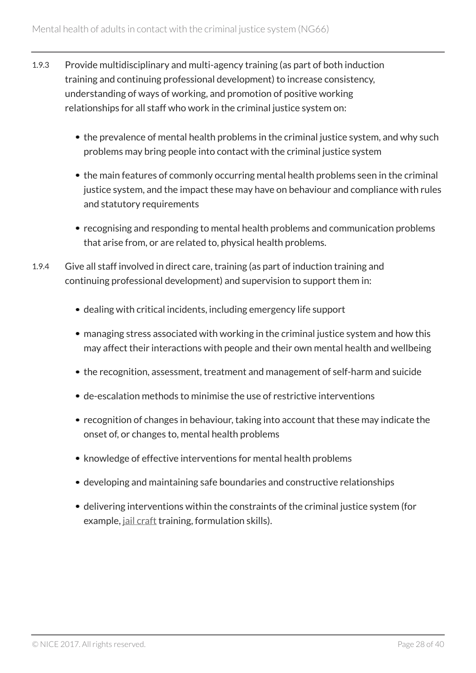- 1.9.3 Provide multidisciplinary and multi-agency training (as part of both induction training and continuing professional development) to increase consistency, understanding of ways of working, and promotion of positive working relationships for all staff who work in the criminal justice system on:
	- the prevalence of mental health problems in the criminal justice system, and why such problems may bring people into contact with the criminal justice system
	- the main features of commonly occurring mental health problems seen in the criminal justice system, and the impact these may have on behaviour and compliance with rules and statutory requirements
	- recognising and responding to mental health problems and communication problems that arise from, or are related to, physical health problems.
- 1.9.4 Give all staff involved in direct care, training (as part of induction training and continuing professional development) and supervision to support them in:
	- dealing with critical incidents, including emergency life support
	- managing stress associated with working in the criminal justice system and how this may affect their interactions with people and their own mental health and wellbeing
	- the recognition, assessment, treatment and management of self-harm and suicide
	- de-escalation methods to minimise the use of restrictive interventions
	- recognition of changes in behaviour, taking into account that these may indicate the onset of, or changes to, mental health problems
	- knowledge of effective interventions for mental health problems
	- developing and maintaining safe boundaries and constructive relationships
	- delivering interventions within the constraints of the criminal justice system (for example, *[jail craft](#page-29-4)* training, formulation skills).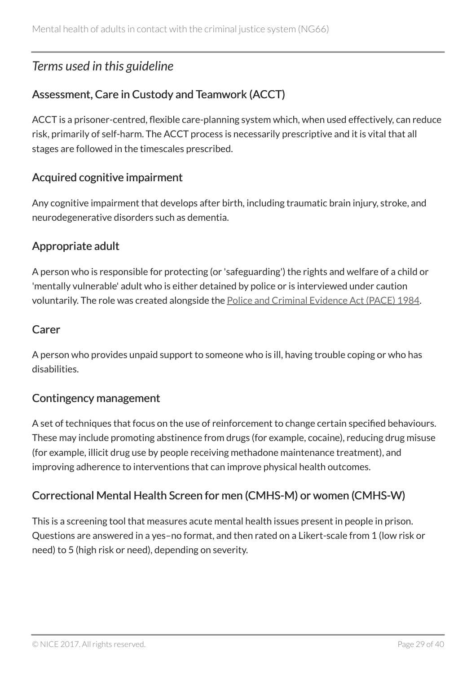# <span id="page-28-0"></span>*Terms used in this guideline*

### <span id="page-28-2"></span>Assessment, Care in Custody and Teamwork (ACCT)

ACCT is a prisoner-centred, flexible care-planning system which, when used effectively, can reduce risk, primarily of self-harm. The ACCT process is necessarily prescriptive and it is vital that all stages are followed in the timescales prescribed.

#### <span id="page-28-1"></span>Acquired cognitive impairment

Any cognitive impairment that develops after birth, including traumatic brain injury, stroke, and neurodegenerative disorders such as dementia.

#### <span id="page-28-5"></span>Appropriate adult

A person who is responsible for protecting (or 'safeguarding') the rights and welfare of a child or 'mentally vulnerable' adult who is either detained by police or is interviewed under caution voluntarily. The role was created alongside the [Police and Criminal Evidence Act \(PACE\) 1984](http://www.legislation.gov.uk/ukpga/1984/60/contents).

#### <span id="page-28-3"></span>Carer

A person who provides unpaid support to someone who is ill, having trouble coping or who has disabilities.

#### <span id="page-28-6"></span>Contingency management

A set of techniques that focus on the use of reinforcement to change certain specified behaviours. These may include promoting abstinence from drugs (for example, cocaine), reducing drug misuse (for example, illicit drug use by people receiving methadone maintenance treatment), and improving adherence to interventions that can improve physical health outcomes.

### <span id="page-28-4"></span>Correctional Mental Health Screen for men (CMHS-M) or women (CMHS-W)

This is a screening tool that measures acute mental health issues present in people in prison. Questions are answered in a yes–no format, and then rated on a Likert-scale from 1 (low risk or need) to 5 (high risk or need), depending on severity.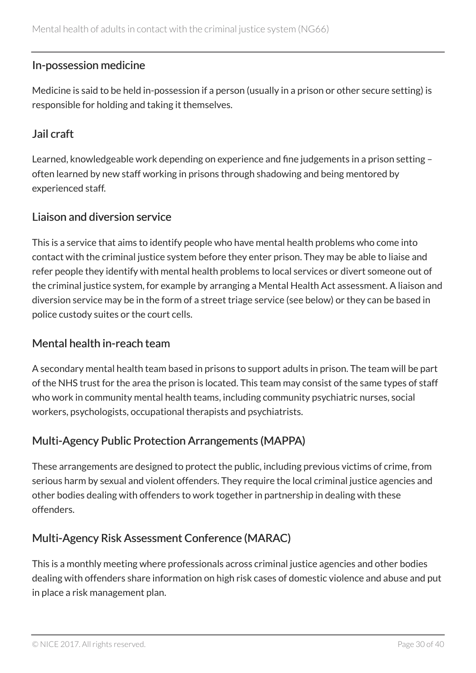#### <span id="page-29-0"></span>In-possession medicine

Medicine is said to be held in-possession if a person (usually in a prison or other secure setting) is responsible for holding and taking it themselves.

#### <span id="page-29-4"></span>Jail craft

Learned, knowledgeable work depending on experience and fine judgements in a prison setting – often learned by new staff working in prisons through shadowing and being mentored by experienced staff.

#### Liaison and diversion service

This is a service that aims to identify people who have mental health problems who come into contact with the criminal justice system before they enter prison. They may be able to liaise and refer people they identify with mental health problems to local services or divert someone out of the criminal justice system, for example by arranging a Mental Health Act assessment. A liaison and diversion service may be in the form of a street triage service (see below) or they can be based in police custody suites or the court cells.

#### <span id="page-29-1"></span>Mental health in-reach team

A secondary mental health team based in prisons to support adults in prison. The team will be part of the NHS trust for the area the prison is located. This team may consist of the same types of staff who work in community mental health teams, including community psychiatric nurses, social workers, psychologists, occupational therapists and psychiatrists.

#### <span id="page-29-3"></span>Multi-Agency Public Protection Arrangements (MAPPA)

These arrangements are designed to protect the public, including previous victims of crime, from serious harm by sexual and violent offenders. They require the local criminal justice agencies and other bodies dealing with offenders to work together in partnership in dealing with these offenders.

#### <span id="page-29-2"></span>Multi-Agency Risk Assessment Conference (MARAC)

This is a monthly meeting where professionals across criminal justice agencies and other bodies dealing with offenders share information on high risk cases of domestic violence and abuse and put in place a risk management plan.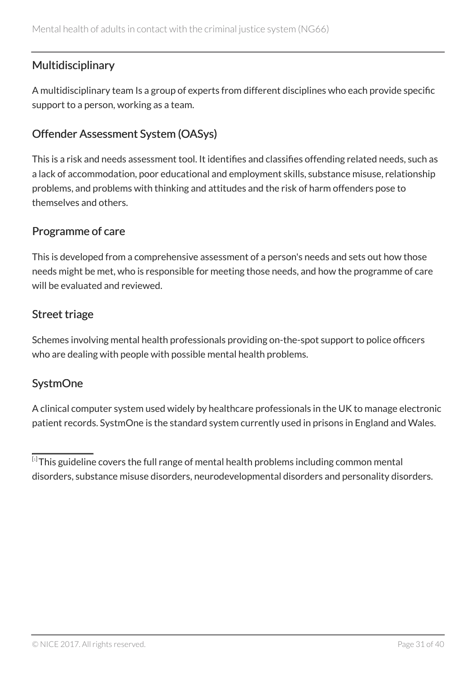#### <span id="page-30-4"></span>**Multidisciplinary**

A multidisciplinary team Is a group of experts from different disciplines who each provide specific support to a person, working as a team.

#### <span id="page-30-1"></span>Offender Assessment System (OASys)

This is a risk and needs assessment tool. It identifies and classifies offending related needs, such as a lack of accommodation, poor educational and employment skills, substance misuse, relationship problems, and problems with thinking and attitudes and the risk of harm offenders pose to themselves and others.

#### <span id="page-30-3"></span>Programme of care

This is developed from a comprehensive assessment of a person's needs and sets out how those needs might be met, who is responsible for meeting those needs, and how the programme of care will be evaluated and reviewed.

#### <span id="page-30-5"></span>Street triage

Schemes involving mental health professionals providing on-the-spot support to police officers who are dealing with people with possible mental health problems.

#### <span id="page-30-2"></span>**SystmOne**

A clinical computer system used widely by healthcare professionals in the UK to manage electronic patient records. SystmOne is the standard system currently used in prisons in England and Wales.

<span id="page-30-0"></span> $^{\left[ \cdot\right] }$ This guideline covers the full range of mental health problems including common mental disorders, substance misuse disorders, neurodevelopmental disorders and personality disorders.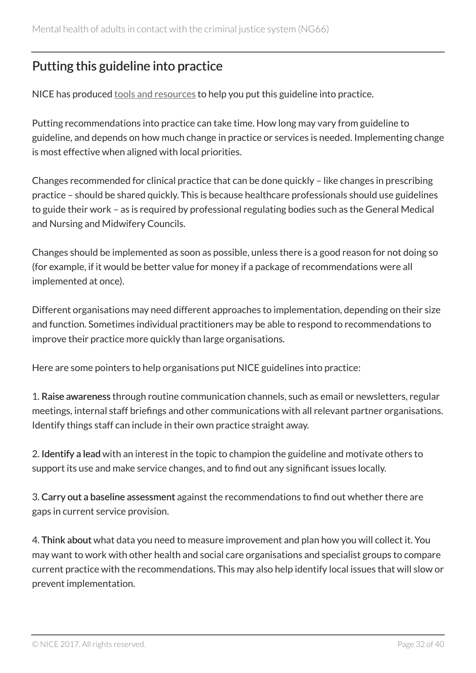# <span id="page-31-0"></span>Putting this guideline into practice

NICE has produced [tools and resources](http://www.nice.org.uk/guidance/ng66/resources) to help you put this guideline into practice.

Putting recommendations into practice can take time. How long may vary from guideline to guideline, and depends on how much change in practice or services is needed. Implementing change is most effective when aligned with local priorities.

Changes recommended for clinical practice that can be done quickly – like changes in prescribing practice – should be shared quickly. This is because healthcare professionals should use guidelines to guide their work – as is required by professional regulating bodies such as the General Medical and Nursing and Midwifery Councils.

Changes should be implemented as soon as possible, unless there is a good reason for not doing so (for example, if it would be better value for money if a package of recommendations were all implemented at once).

Different organisations may need different approaches to implementation, depending on their size and function. Sometimes individual practitioners may be able to respond to recommendations to improve their practice more quickly than large organisations.

Here are some pointers to help organisations put NICE guidelines into practice:

1. Raise awareness through routine communication channels, such as email or newsletters, regular meetings, internal staff briefings and other communications with all relevant partner organisations. Identify things staff can include in their own practice straight away.

2. Identify a lead with an interest in the topic to champion the guideline and motivate others to support its use and make service changes, and to find out any significant issues locally.

3. Carry out a baseline assessment against the recommendations to find out whether there are gaps in current service provision.

4. Think about what data you need to measure improvement and plan how you will collect it. You may want to work with other health and social care organisations and specialist groups to compare current practice with the recommendations. This may also help identify local issues that will slow or prevent implementation.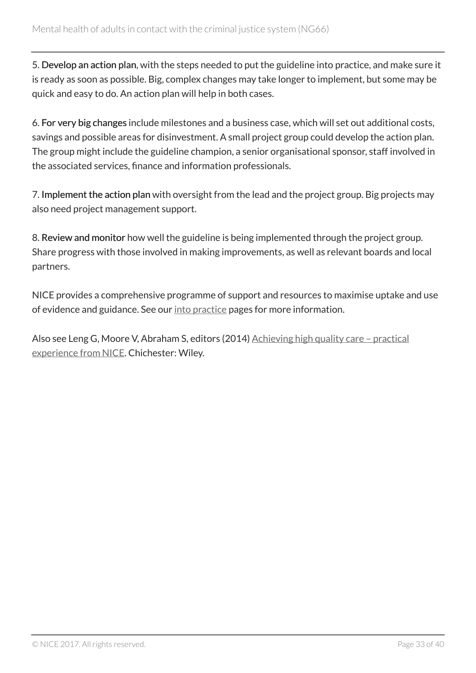5. Develop an action plan, with the steps needed to put the guideline into practice, and make sure it is ready as soon as possible. Big, complex changes may take longer to implement, but some may be quick and easy to do. An action plan will help in both cases.

6. For very big changes include milestones and a business case, which will set out additional costs, savings and possible areas for disinvestment. A small project group could develop the action plan. The group might include the guideline champion, a senior organisational sponsor, staff involved in the associated services, finance and information professionals.

7. Implement the action plan with oversight from the lead and the project group. Big projects may also need project management support.

8. Review and monitor how well the guideline is being implemented through the project group. Share progress with those involved in making improvements, as well as relevant boards and local partners.

NICE provides a comprehensive programme of support and resources to maximise uptake and use of evidence and guidance. See our [into practice](https://www.nice.org.uk/about/what-we-do/into-practice) pages for more information.

Also see Leng G, Moore V, Abraham S, editors (2014) [Achieving high quality care – practical](http://onlinelibrary.wiley.com/doi/10.1002/9781118543412.ch2/summary) [experience from NICE.](http://onlinelibrary.wiley.com/doi/10.1002/9781118543412.ch2/summary) Chichester: Wiley.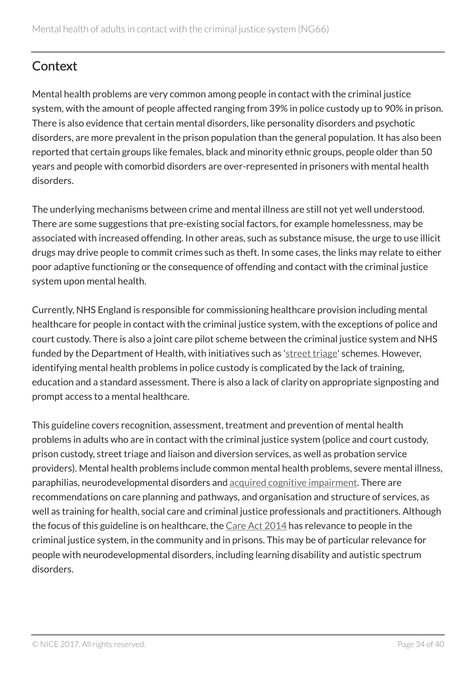# <span id="page-33-0"></span>**Context**

Mental health problems are very common among people in contact with the criminal justice system, with the amount of people affected ranging from 39% in police custody up to 90% in prison. There is also evidence that certain mental disorders, like personality disorders and psychotic disorders, are more prevalent in the prison population than the general population. It has also been reported that certain groups like females, black and minority ethnic groups, people older than 50 years and people with comorbid disorders are over-represented in prisoners with mental health disorders.

The underlying mechanisms between crime and mental illness are still not yet well understood. There are some suggestions that pre-existing social factors, for example homelessness, may be associated with increased offending. In other areas, such as substance misuse, the urge to use illicit drugs may drive people to commit crimes such as theft. In some cases, the links may relate to either poor adaptive functioning or the consequence of offending and contact with the criminal justice system upon mental health.

Currently, NHS England is responsible for commissioning healthcare provision including mental healthcare for people in contact with the criminal justice system, with the exceptions of police and court custody. There is also a joint care pilot scheme between the criminal justice system and NHS funded by the Department of Health, with initiatives such as '[street triage](#page-30-5)' schemes. However, identifying mental health problems in police custody is complicated by the lack of training, education and a standard assessment. There is also a lack of clarity on appropriate signposting and prompt access to a mental healthcare.

This guideline covers recognition, assessment, treatment and prevention of mental health problems in adults who are in contact with the criminal justice system (police and court custody, prison custody, street triage and liaison and diversion services, as well as probation service providers). Mental health problems include common mental health problems, severe mental illness, paraphilias, neurodevelopmental disorders and [acquired cognitive impairment](#page-28-1). There are recommendations on care planning and pathways, and organisation and structure of services, as well as training for health, social care and criminal justice professionals and practitioners. Although the focus of this guideline is on healthcare, the [Care Act 2014](http://www.legislation.gov.uk/ukpga/2014/23/contents/enacted) has relevance to people in the criminal justice system, in the community and in prisons. This may be of particular relevance for people with neurodevelopmental disorders, including learning disability and autistic spectrum disorders.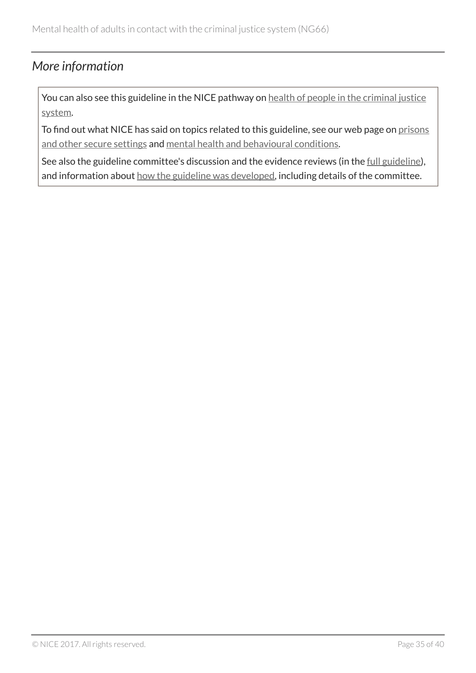### <span id="page-34-0"></span>*More information*

You can also see this guideline in the NICE pathway on [health of people in the criminal justice](http://pathways.nice.org.uk/pathways/health-of-people-in-the-criminal-justice-system) [system](http://pathways.nice.org.uk/pathways/health-of-people-in-the-criminal-justice-system).

To find out what NICE has said on topics related to this guideline, see our web page on [prisons](http://www.nice.org.uk/guidance/settings/prisons-and-other-secure-settings) [and other secure settings](http://www.nice.org.uk/guidance/settings/prisons-and-other-secure-settings) and [mental health and behavioural conditions](http://www.nice.org.uk/guidance/conditions-and-diseases/mental-health-and-behavioural-conditions).

See also the guideline committee's discussion and the evidence reviews (in the [full guideline\)](http://www.nice.org.uk/Guidance/NG66/evidence), and information about [how the guideline was developed](http://www.nice.org.uk/Guidance/NG66/documents), including details of the committee.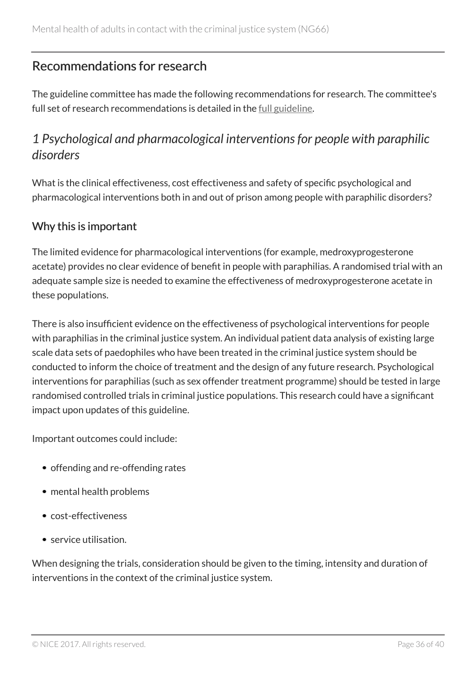# <span id="page-35-0"></span>Recommendations for research

The guideline committee has made the following recommendations for research. The committee's full set of research recommendations is detailed in the <u>[full guideline](http://www.nice.org.uk/Guidance/NG66/Evidence)</u>.

# <span id="page-35-1"></span>*1 Psychological and pharmacological interventions for people with paraphilic disorders*

What is the clinical effectiveness, cost effectiveness and safety of specific psychological and pharmacological interventions both in and out of prison among people with paraphilic disorders?

#### Why this is important

The limited evidence for pharmacological interventions (for example, medroxyprogesterone acetate) provides no clear evidence of benefit in people with paraphilias. A randomised trial with an adequate sample size is needed to examine the effectiveness of medroxyprogesterone acetate in these populations.

There is also insufficient evidence on the effectiveness of psychological interventions for people with paraphilias in the criminal justice system. An individual patient data analysis of existing large scale data sets of paedophiles who have been treated in the criminal justice system should be conducted to inform the choice of treatment and the design of any future research. Psychological interventions for paraphilias (such as sex offender treatment programme) should be tested in large randomised controlled trials in criminal justice populations. This research could have a significant impact upon updates of this guideline.

Important outcomes could include:

- offending and re-offending rates
- mental health problems
- cost-effectiveness
- service utilisation.

When designing the trials, consideration should be given to the timing, intensity and duration of interventions in the context of the criminal justice system.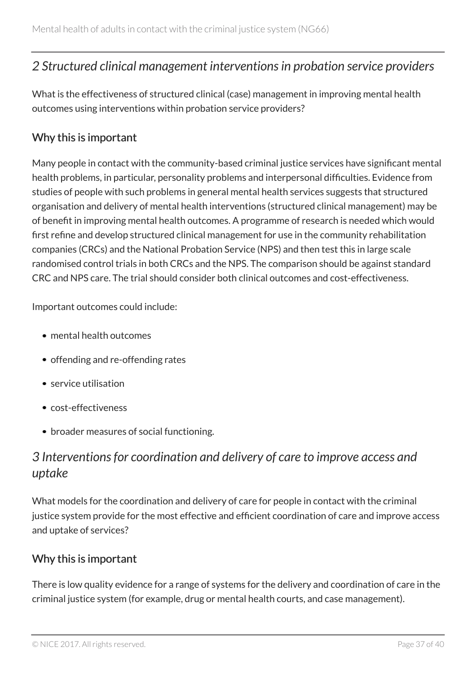### <span id="page-36-0"></span>*2 Structured clinical management interventions in probation service providers*

What is the effectiveness of structured clinical (case) management in improving mental health outcomes using interventions within probation service providers?

#### Why this is important

Many people in contact with the community-based criminal justice services have significant mental health problems, in particular, personality problems and interpersonal difficulties. Evidence from studies of people with such problems in general mental health services suggests that structured organisation and delivery of mental health interventions (structured clinical management) may be of benefit in improving mental health outcomes. A programme of research is needed which would first refine and develop structured clinical management for use in the community rehabilitation companies (CRCs) and the National Probation Service (NPS) and then test this in large scale randomised control trials in both CRCs and the NPS. The comparison should be against standard CRC and NPS care. The trial should consider both clinical outcomes and cost-effectiveness.

Important outcomes could include:

- mental health outcomes
- offending and re-offending rates
- service utilisation
- cost-effectiveness
- broader measures of social functioning.

# <span id="page-36-1"></span>*3 Interventions for coordination and delivery of care to improve access and uptake*

What models for the coordination and delivery of care for people in contact with the criminal justice system provide for the most effective and efficient coordination of care and improve access and uptake of services?

#### Why this is important

There is low quality evidence for a range of systems for the delivery and coordination of care in the criminal justice system (for example, drug or mental health courts, and case management).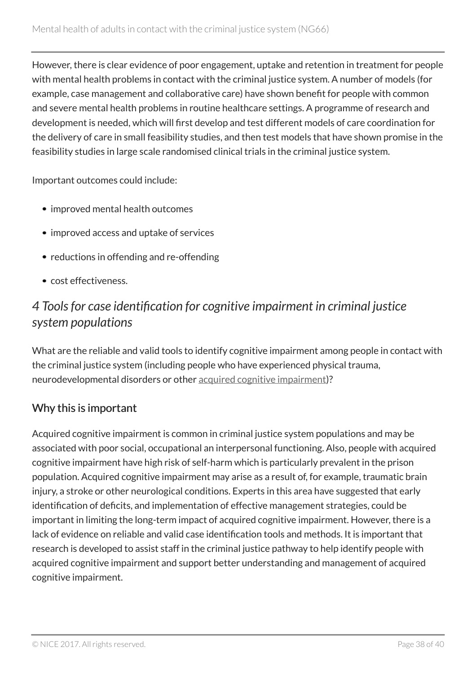However, there is clear evidence of poor engagement, uptake and retention in treatment for people with mental health problems in contact with the criminal justice system. A number of models (for example, case management and collaborative care) have shown benefit for people with common and severe mental health problems in routine healthcare settings. A programme of research and development is needed, which will first develop and test different models of care coordination for the delivery of care in small feasibility studies, and then test models that have shown promise in the feasibility studies in large scale randomised clinical trials in the criminal justice system.

Important outcomes could include:

- improved mental health outcomes
- improved access and uptake of services
- reductions in offending and re-offending
- cost effectiveness.

# <span id="page-37-0"></span>*4 Tools for case identification for cognitive impairment in criminal justice system populations*

What are the reliable and valid tools to identify cognitive impairment among people in contact with the criminal justice system (including people who have experienced physical trauma, neurodevelopmental disorders or other [acquired cognitive impairment\)](#page-28-1)?

#### Why this is important

Acquired cognitive impairment is common in criminal justice system populations and may be associated with poor social, occupational an interpersonal functioning. Also, people with acquired cognitive impairment have high risk of self-harm which is particularly prevalent in the prison population. Acquired cognitive impairment may arise as a result of, for example, traumatic brain injury, a stroke or other neurological conditions. Experts in this area have suggested that early identification of deficits, and implementation of effective management strategies, could be important in limiting the long-term impact of acquired cognitive impairment. However, there is a lack of evidence on reliable and valid case identification tools and methods. It is important that research is developed to assist staff in the criminal justice pathway to help identify people with acquired cognitive impairment and support better understanding and management of acquired cognitive impairment.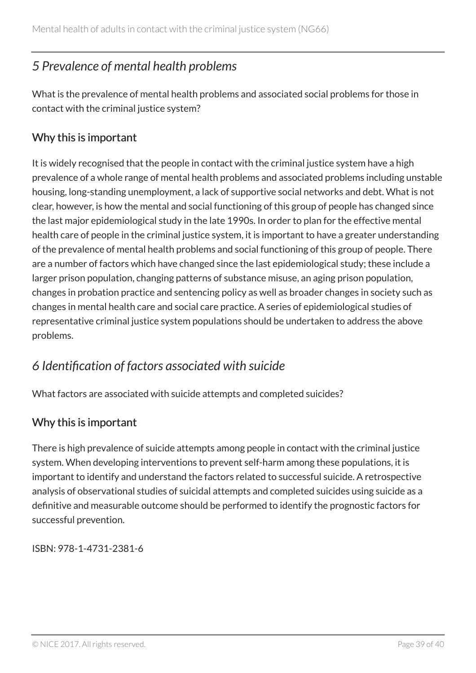# <span id="page-38-0"></span>*5 Prevalence of mental health problems*

What is the prevalence of mental health problems and associated social problems for those in contact with the criminal justice system?

#### Why this is important

It is widely recognised that the people in contact with the criminal justice system have a high prevalence of a whole range of mental health problems and associated problems including unstable housing, long-standing unemployment, a lack of supportive social networks and debt. What is not clear, however, is how the mental and social functioning of this group of people has changed since the last major epidemiological study in the late 1990s. In order to plan for the effective mental health care of people in the criminal justice system, it is important to have a greater understanding of the prevalence of mental health problems and social functioning of this group of people. There are a number of factors which have changed since the last epidemiological study; these include a larger prison population, changing patterns of substance misuse, an aging prison population, changes in probation practice and sentencing policy as well as broader changes in society such as changes in mental health care and social care practice. A series of epidemiological studies of representative criminal justice system populations should be undertaken to address the above problems.

# <span id="page-38-1"></span>*6 Identification of factors associated with suicide*

What factors are associated with suicide attempts and completed suicides?

#### Why this is important

There is high prevalence of suicide attempts among people in contact with the criminal justice system. When developing interventions to prevent self-harm among these populations, it is important to identify and understand the factors related to successful suicide. A retrospective analysis of observational studies of suicidal attempts and completed suicides using suicide as a definitive and measurable outcome should be performed to identify the prognostic factors for successful prevention.

ISBN: 978-1-4731-2381-6